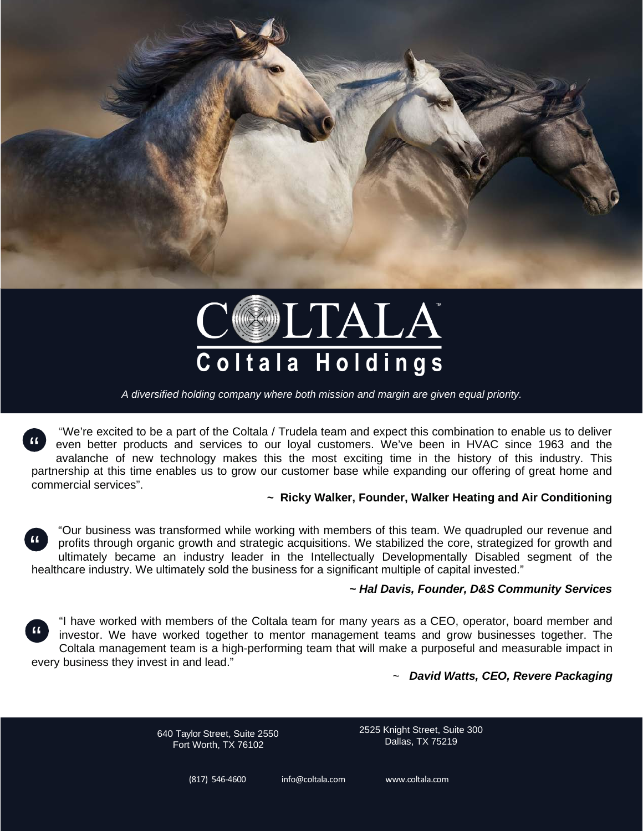



*A diversified holding company where both mission and margin are given equal priority.*

"We're excited to be a part of the Coltala / Trudela team and expect this combination to enable us to deliver even better products and services to our loyal customers. We've been in HVAC since 1963 and the avalanche of new technology makes this the most exciting time in the history of this industry. This partnership at this time enables us to grow our customer base while expanding our offering of great home and commercial services". "

#### **~ Ricky Walker, Founder, Walker Heating and Air Conditioning**

"Our business was transformed while working with members of this team. We quadrupled our revenue and profits through organic growth and strategic acquisitions. We stabilized the core, strategized for growth and ultimately became an industry leader in the Intellectually Developmentally Disabled segment of the healthcare industry. We ultimately sold the business for a significant multiple of capital invested." "<br>"<br>"

#### *~ Hal Davis, Founder, D&S Community Services*

"I have worked with members of the Coltala team for many years as a CEO, operator, board member and " investor. We have worked together to mentor management teams and grow businesses together. The Coltala management team is a high-performing team that will make a purposeful and measurable impact in every business they invest in and lead." "

#### ~ *David Watts, CEO, Revere Packaging*

640 Taylor Street, Suite 2550 Fort Worth, TX 76102

2525 Knight Street, Suite 300 Dallas, TX 75219

(817) 546-4600 [info@coltala.com](mailto:info@coltala.com) www.coltala.com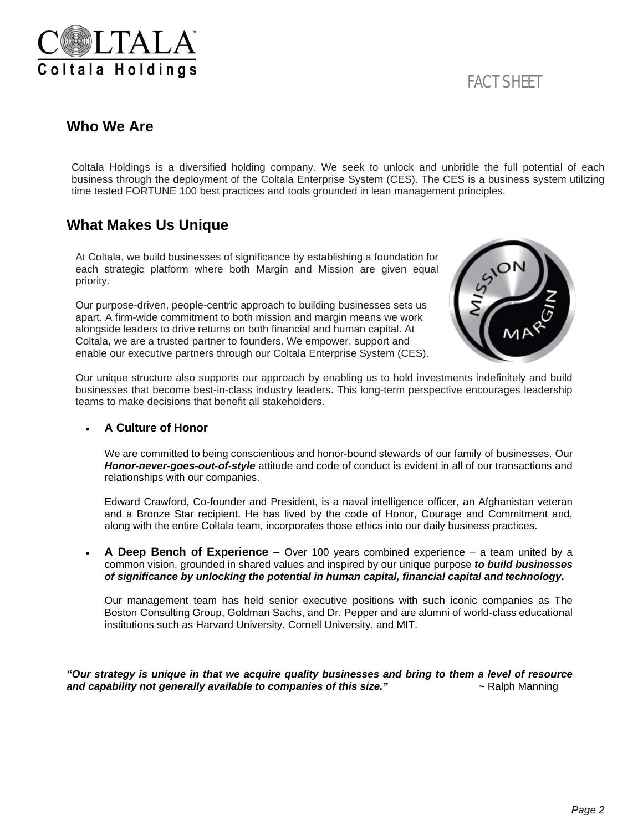

# FACT SHEET

# **Who We Are**

Coltala Holdings is a diversified holding company. We seek to unlock and unbridle the full potential of each business through the deployment of the Coltala Enterprise System (CES). The CES is a business system utilizing time tested FORTUNE 100 best practices and tools grounded in lean management principles.

## **What Makes Us Unique**

At Coltala, we build businesses of significance by establishing a foundation for each strategic platform where both Margin and Mission are given equal priority.

Our purpose-driven, people-centric approach to building businesses sets us apart. A firm-wide commitment to both mission and margin means we work alongside leaders to drive returns on both financial and human capital. At Coltala, we are a trusted partner to founders. We empower, support and enable our executive partners through our Coltala Enterprise System (CES).



Our unique structure also supports our approach by enabling us to hold investments indefinitely and build businesses that become best-in-class industry leaders. This long-term perspective encourages leadership teams to make decisions that benefit all stakeholders.

#### • **A Culture of Honor**

We are committed to being conscientious and honor-bound stewards of our family of businesses. Our *Honor-never-goes-out-of-style* attitude and code of conduct is evident in all of our transactions and relationships with our companies.

Edward Crawford, Co-founder and President, is a naval intelligence officer, an Afghanistan veteran and a Bronze Star recipient. He has lived by the code of Honor, Courage and Commitment and, along with the entire Coltala team, incorporates those ethics into our daily business practices.

• **A Deep Bench of Experience** – Over 100 years combined experience – a team united by a common vision, grounded in shared values and inspired by our unique purpose *to build businesses of significance by unlocking the potential in human capital, financial capital and technology***.**

Our management team has held senior executive positions with such iconic companies as The Boston Consulting Group, Goldman Sachs, and Dr. Pepper and are alumni of world-class educational institutions such as Harvard University, Cornell University, and MIT.

*"Our strategy is unique in that we acquire quality businesses and bring to them a level of resource*  and capability not generally available to companies of this size." *~ Ralph Manning*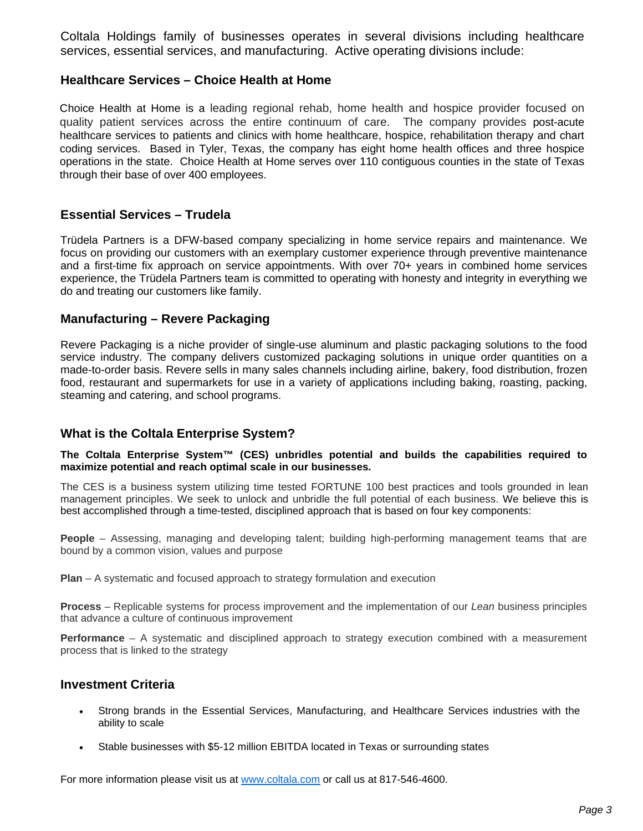Coltala Holdings family of businesses operates in several divisions including healthcare services, essential services, and manufacturing. Active operating divisions include:

#### **Healthcare Services – Choice Health at Home**

Choice Health at Home is a leading regional rehab, home health and hospice provider focused on quality patient services across the entire continuum of care. The company provides post-acute healthcare services to patients and clinics with home healthcare, hospice, rehabilitation therapy and chart coding services. Based in Tyler, Texas, the company has eight home health offices and three hospice operations in the state. Choice Health at Home serves over 110 contiguous counties in the state of Texas through their base of over 400 employees.

#### **Essential Services – Trudela**

Trüdela Partners is a DFW-based company specializing in home service repairs and maintenance. We focus on providing our customers with an exemplary customer experience through preventive maintenance and a first-time fix approach on service appointments. With over 70+ years in combined home services experience, the Trüdela Partners team is committed to operating with honesty and integrity in everything we do and treating our customers like family.

#### **Manufacturing – Revere Packaging**

Revere Packaging is a niche provider of single-use aluminum and plastic packaging solutions to the food service industry. The company delivers customized packaging solutions in unique order quantities on a made-to-order basis. Revere sells in many sales channels including airline, bakery, food distribution, frozen food, restaurant and supermarkets for use in a variety of applications including baking, roasting, packing, steaming and catering, and school programs.

#### **What is the Coltala Enterprise System?**

#### **The Coltala Enterprise System™ (CES) unbridles potential and builds the capabilities required to maximize potential and reach optimal scale in our businesses.**

The CES is a business system utilizing time tested FORTUNE 100 best practices and tools grounded in lean management principles. We seek to unlock and unbridle the full potential of each business. We believe this is best accomplished through a time-tested, disciplined approach that is based on four key components:

**People** – Assessing, managing and developing talent; building high-performing management teams that are bound by a common vision, values and purpose

**Plan** – A systematic and focused approach to strategy formulation and execution

**Process** – Replicable systems for process improvement and the implementation of our *Lean* business principles that advance a culture of continuous improvement

**Performance** – A systematic and disciplined approach to strategy execution combined with a measurement process that is linked to the strategy

#### **Investment Criteria**

- Strong brands in the Essential Services, Manufacturing, and Healthcare Services industries with the ability to scale
- Stable businesses with \$5-12 million EBITDA located in Texas or surrounding states

For more information please visit us at [www.coltala.com](http://www.coltala.com/) or call us at 817-546-4600.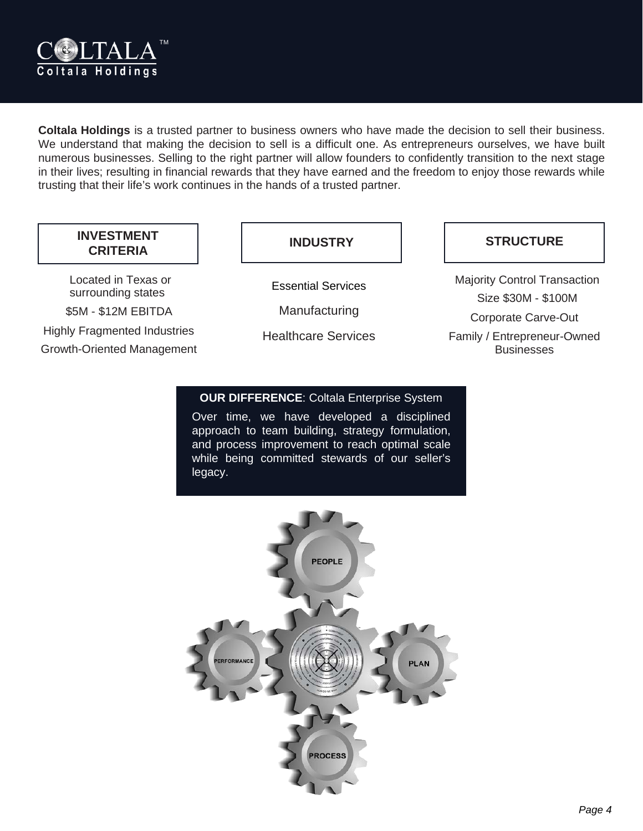

**Coltala Holdings** is a trusted partner to business owners who have made the decision to sell their business. We understand that making the decision to sell is a difficult one. As entrepreneurs ourselves, we have built numerous businesses. Selling to the right partner will allow founders to confidently transition to the next stage in their lives; resulting in financial rewards that they have earned and the freedom to enjoy those rewards while trusting that their life's work continues in the hands of a trusted partner.

#### **INDUSTRY STRUCTURE INVESTMENT CRITERIA**

Located in Texas or surrounding states \$5M - \$12M EBITDA

Highly Fragmented Industries

Growth-Oriented Management

Essential Services

Manufacturing

Healthcare Services

Majority Control Transaction Size \$30M - \$100M Corporate Carve-Out Family / Entrepreneur-Owned Businesses

**OUR DIFFERENCE**: Coltala Enterprise System

Over time, we have developed a disciplined approach to team building, strategy formulation, and process improvement to reach optimal scale while being committed stewards of our seller's legacy.

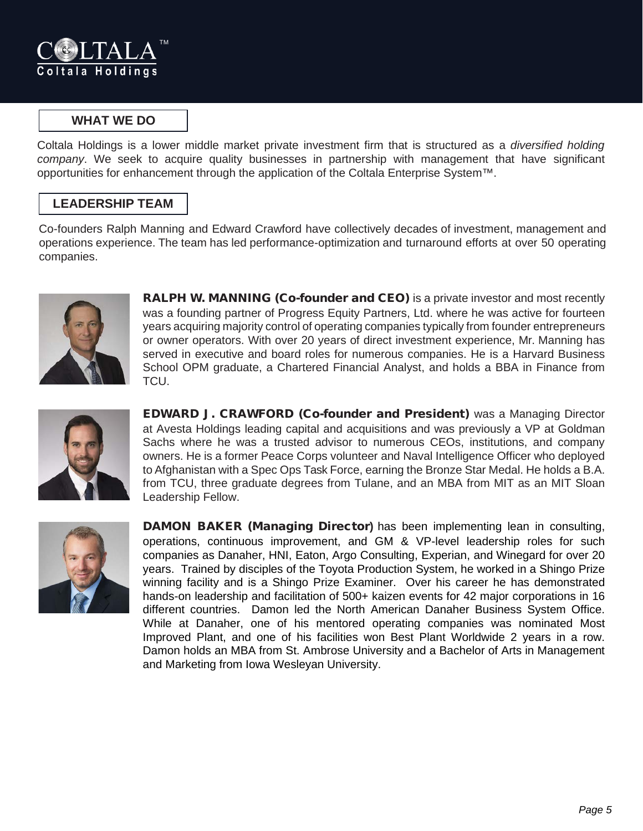

#### **WHAT WE DO**

Coltala Holdings is a lower middle market private investment firm that is structured as a *diversified holding company*. We seek to acquire quality businesses in partnership with management that have significant opportunities for enhancement through the application of the Coltala Enterprise System™.

#### **LEADERSHIP TEAM**

Co-founders Ralph Manning and Edward Crawford have collectively decades of investment, management and operations experience. The team has led performance-optimization and turnaround efforts at over 50 operating companies.



RALPH W. MANNING (Co-founder and CEO) is a private investor and most recently was a founding partner of Progress Equity Partners, Ltd. where he was active for fourteen years acquiring majority control of operating companies typically from founder entrepreneurs or owner operators. With over 20 years of direct investment experience, Mr. Manning has served in executive and board roles for numerous companies. He is a Harvard Business School OPM graduate, a Chartered Financial Analyst, and holds a BBA in Finance from TCU.



EDWARD J. CRAWFORD (Co-founder and President) was a Managing Director at Avesta Holdings leading capital and acquisitions and was previously a VP at Goldman Sachs where he was a trusted advisor to numerous CEOs, institutions, and company owners. He is a former Peace Corps volunteer and Naval Intelligence Officer who deployed to Afghanistan with a Spec Ops Task Force, earning the Bronze Star Medal. He holds a B.A. from TCU, three graduate degrees from Tulane, and an MBA from MIT as an MIT Sloan Leadership Fellow.



DAMON BAKER (Managing Director**)** has been implementing lean in consulting, operations, continuous improvement, and GM & VP-level leadership roles for such companies as Danaher, HNI, Eaton, Argo Consulting, Experian, and Winegard for over 20 years. Trained by disciples of the Toyota Production System, he worked in a Shingo Prize winning facility and is a Shingo Prize Examiner. Over his career he has demonstrated hands-on leadership and facilitation of 500+ kaizen events for 42 major corporations in 16 different countries. Damon led the North American Danaher Business System Office. While at Danaher, one of his mentored operating companies was nominated Most Improved Plant, and one of his facilities won Best Plant Worldwide 2 years in a row. Damon holds an MBA from St. Ambrose University and a Bachelor of Arts in Management and Marketing from Iowa Wesleyan University.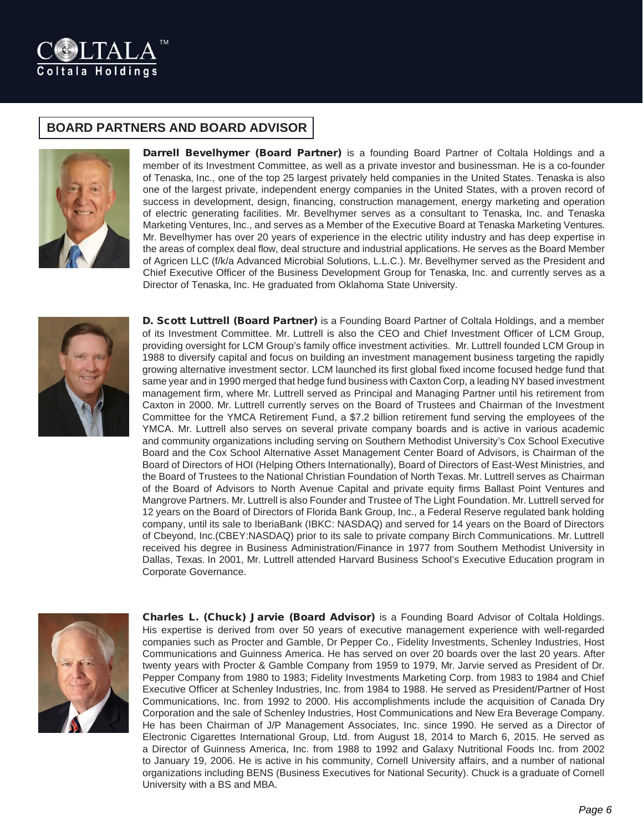

### **BOARD PARTNERS AND BOARD ADVISOR**



Darrell Bevelhymer (Board Partner) is a founding Board Partner of Coltala Holdings and a member of its Investment Committee, as well as a private investor and businessman. He is a co-founder of Tenaska, Inc., one of the top 25 largest privately held companies in the United States. Tenaska is also one of the largest private, independent energy companies in the United States, with a proven record of success in development, design, financing, construction management, energy marketing and operation of electric generating facilities. Mr. Bevelhymer serves as a consultant to Tenaska, Inc. and Tenaska Marketing Ventures, Inc., and serves as a Member of the Executive Board at Tenaska Marketing Ventures. Mr. Bevelhymer has over 20 years of experience in the electric utility industry and has deep expertise in the areas of complex deal flow, deal structure and industrial applications. He serves as the Board Member of Agricen LLC (f/k/a Advanced Microbial Solutions, L.L.C.). Mr. Bevelhymer served as the President and Chief Executive Officer of the Business Development Group for Tenaska, Inc. and currently serves as a Director of Tenaska, Inc. He graduated from Oklahoma State University.



**D. Scott Luttrell (Board Partner)** is a Founding Board Partner of Coltala Holdings, and a member of its Investment Committee. Mr. Luttrell is also the CEO and Chief Investment Officer of LCM Group, providing oversight for LCM Group's family office investment activities. Mr. Luttrell founded LCM Group in 1988 to diversify capital and focus on building an investment management business targeting the rapidly growing alternative investment sector. LCM launched its first global fixed income focused hedge fund that same year and in 1990 merged that hedge fund business with Caxton Corp, a leading NY based investment management firm, where Mr. Luttrell served as Principal and Managing Partner until his retirement from Caxton in 2000. Mr. Luttrell currently serves on the Board of Trustees and Chairman of the Investment Committee for the YMCA Retirement Fund, a \$7.2 billion retirement fund serving the employees of the YMCA. Mr. Luttrell also serves on several private company boards and is active in various academic and community organizations including serving on Southern Methodist University's Cox School Executive Board and the Cox School Alternative Asset Management Center Board of Advisors, is Chairman of the Board of Directors of HOI (Helping Others Internationally), Board of Directors of East-West Ministries, and the Board of Trustees to the National Christian Foundation of North Texas. Mr. Luttrell serves as Chairman of the Board of Advisors to North Avenue Capital and private equity firms Ballast Point Ventures and Mangrove Partners. Mr. Luttrell is also Founder and Trustee of The Light Foundation. Mr. Luttrell served for 12 years on the Board of Directors of Florida Bank Group, Inc., a Federal Reserve regulated bank holding company, until its sale to IberiaBank (IBKC: NASDAQ) and served for 14 years on the Board of Directors of Cbeyond, Inc.(CBEY:NASDAQ) prior to its sale to private company Birch Communications. Mr. Luttrell received his degree in Business Administration/Finance in 1977 from Southern Methodist University in Dallas, Texas. In 2001, Mr. Luttrell attended Harvard Business School's Executive Education program in Corporate Governance.



Charles L. (Chuck) Jarvie (Board Advisor) is a Founding Board Advisor of Coltala Holdings. His expertise is derived from over 50 years of executive management experience with well-regarded companies such as Procter and Gamble, Dr Pepper Co., Fidelity Investments, Schenley Industries, Host Communications and Guinness America. He has served on over 20 boards over the last 20 years. After twenty years with Procter & Gamble Company from 1959 to 1979, Mr. Jarvie served as President of Dr. Pepper Company from 1980 to 1983; Fidelity Investments Marketing Corp. from 1983 to 1984 and Chief Executive Officer at Schenley Industries, Inc. from 1984 to 1988. He served as President/Partner of Host Communications, Inc. from 1992 to 2000. His accomplishments include the acquisition of Canada Dry Corporation and the sale of Schenley Industries, Host Communications and New Era Beverage Company. He has been Chairman of J/P Management Associates, Inc. since 1990. He served as a Director of Electronic Cigarettes International Group, Ltd. from August 18, 2014 to March 6, 2015. He served as a Director of Guinness America, Inc. from 1988 to 1992 and Galaxy Nutritional Foods Inc. from 2002 to January 19, 2006. He is active in his community, Cornell University affairs, and a number of national organizations including BENS (Business Executives for National Security). Chuck is a graduate of Cornell University with a BS and MBA.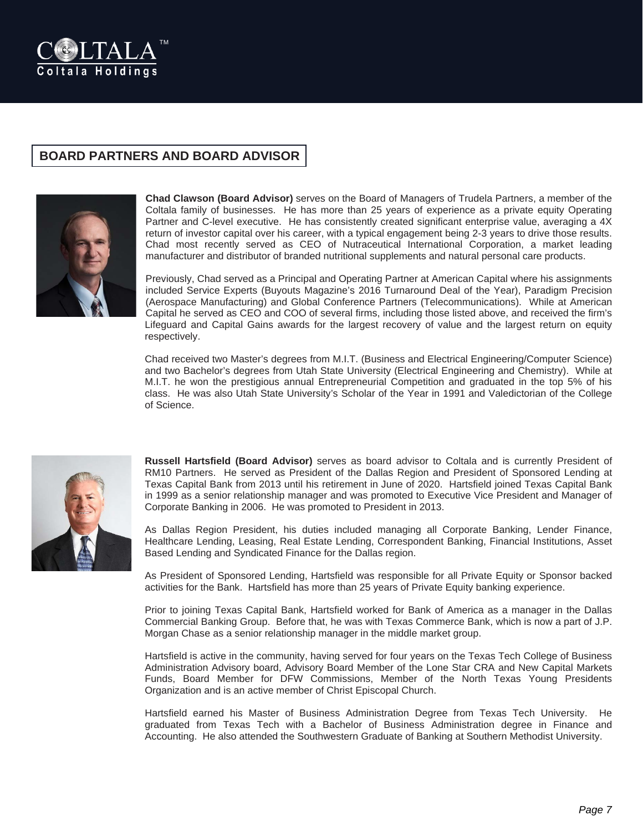

#### **BOARD PARTNERS AND BOARD ADVISOR**



**Chad Clawson (Board Advisor)** serves on the Board of Managers of Trudela Partners, a member of the Coltala family of businesses. He has more than 25 years of experience as a private equity Operating Partner and C-level executive. He has consistently created significant enterprise value, averaging a 4X return of investor capital over his career, with a typical engagement being 2-3 years to drive those results. Chad most recently served as CEO of Nutraceutical International Corporation, a market leading manufacturer and distributor of branded nutritional supplements and natural personal care products.

Previously, Chad served as a Principal and Operating Partner at American Capital where his assignments included Service Experts (Buyouts Magazine's 2016 Turnaround Deal of the Year), Paradigm Precision (Aerospace Manufacturing) and Global Conference Partners (Telecommunications). While at American Capital he served as CEO and COO of several firms, including those listed above, and received the firm's Lifeguard and Capital Gains awards for the largest recovery of value and the largest return on equity respectively.

Chad received two Master's degrees from M.I.T. (Business and Electrical Engineering/Computer Science) and two Bachelor's degrees from Utah State University (Electrical Engineering and Chemistry). While at M.I.T. he won the prestigious annual Entrepreneurial Competition and graduated in the top 5% of his class. He was also Utah State University's Scholar of the Year in 1991 and Valedictorian of the College of Science.



**Russell Hartsfield (Board Advisor)** serves as board advisor to Coltala and is currently President of RM10 Partners. He served as President of the Dallas Region and President of Sponsored Lending at Texas Capital Bank from 2013 until his retirement in June of 2020. Hartsfield joined Texas Capital Bank in 1999 as a senior relationship manager and was promoted to Executive Vice President and Manager of Corporate Banking in 2006. He was promoted to President in 2013.

As Dallas Region President, his duties included managing all Corporate Banking, Lender Finance, Healthcare Lending, Leasing, Real Estate Lending, Correspondent Banking, Financial Institutions, Asset Based Lending and Syndicated Finance for the Dallas region.

As President of Sponsored Lending, Hartsfield was responsible for all Private Equity or Sponsor backed activities for the Bank. Hartsfield has more than 25 years of Private Equity banking experience.

Prior to joining Texas Capital Bank, Hartsfield worked for Bank of America as a manager in the Dallas Commercial Banking Group. Before that, he was with Texas Commerce Bank, which is now a part of J.P. Morgan Chase as a senior relationship manager in the middle market group.

Hartsfield is active in the community, having served for four years on the Texas Tech College of Business Administration Advisory board, Advisory Board Member of the Lone Star CRA and New Capital Markets Funds, Board Member for DFW Commissions, Member of the North Texas Young Presidents Organization and is an active member of Christ Episcopal Church.

Hartsfield earned his Master of Business Administration Degree from Texas Tech University. He graduated from Texas Tech with a Bachelor of Business Administration degree in Finance and Accounting. He also attended the Southwestern Graduate of Banking at Southern Methodist University.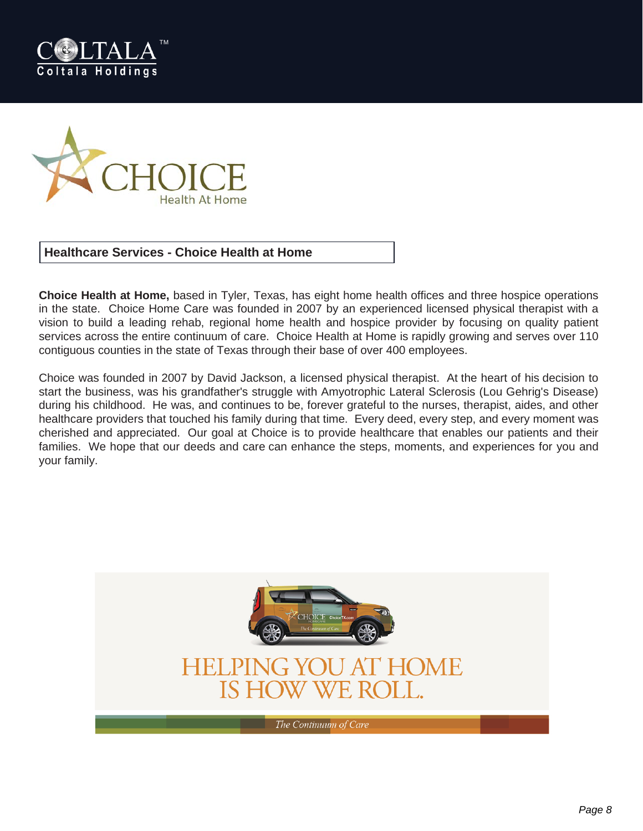



#### **Healthcare Services - Choice Health at Home**

**Choice Health at Home,** based in Tyler, Texas, has eight home health offices and three hospice operations in the state. Choice Home Care was founded in 2007 by an experienced licensed physical therapist with a vision to build a leading rehab, regional home health and hospice provider by focusing on quality patient services across the entire continuum of care. Choice Health at Home is rapidly growing and serves over 110 contiguous counties in the state of Texas through their base of over 400 employees.

Choice was founded in 2007 by David Jackson, a licensed physical therapist. At the heart of his decision to start the business, was his grandfather's struggle with Amyotrophic Lateral Sclerosis (Lou Gehrig's Disease) during his childhood. He was, and continues to be, forever grateful to the nurses, therapist, aides, and other healthcare providers that touched his family during that time. Every deed, every step, and every moment was cherished and appreciated. Our goal at Choice is to provide healthcare that enables our patients and their families. We hope that our deeds and care can enhance the steps, moments, and experiences for you and your family.

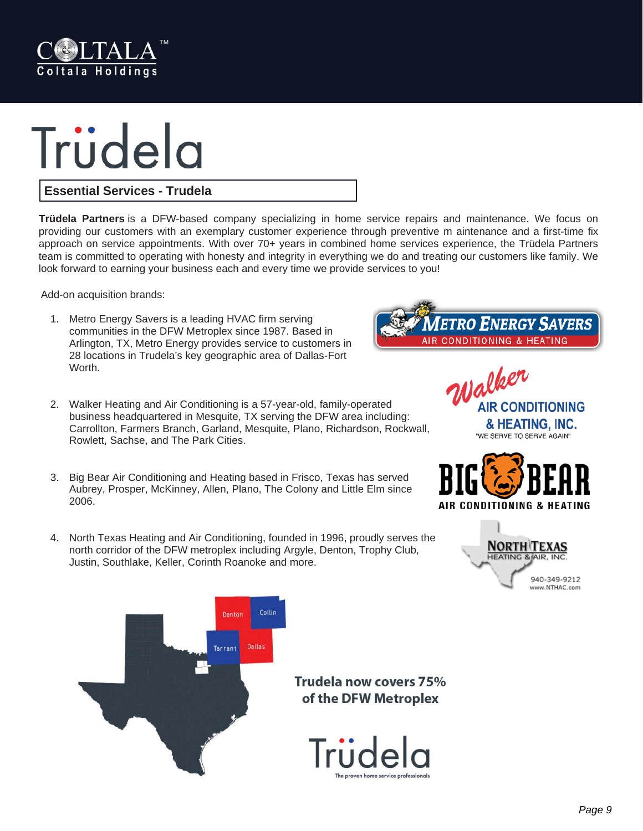

# Trüdela

#### **Essential Services - Trudela**

**Trüdela Partners** is a DFW-based company specializing in home service repairs and maintenance. We focus on providing our customers with an exemplary customer experience through preventive m aintenance and a first-time fix approach on service appointments. With over 70+ years in combined home services experience, the Trüdela Partners team is committed to operating with honesty and integrity in everything we do and treating our customers like family. We look forward to earning your business each and every time we provide services to you!

Add-on acquisition brands:

- 1. Metro Energy Savers is a leading HVAC firm serving communities in the DFW Metroplex since 1987. Based in Arlington, TX, Metro Energy provides service to customers in 28 locations in Trudela's key geographic area of Dallas-Fort Worth.
- 2. Walker Heating and Air Conditioning is a 57-year-old, family-operated business headquartered in Mesquite, TX serving the DFW area including: Carrollton, Farmers Branch, Garland, Mesquite, Plano, Richardson, Rockwall, Rowlett, Sachse, and The Park Cities.
- 3. Big Bear Air Conditioning and Heating based in Frisco, Texas has served Aubrey, Prosper, McKinney, Allen, Plano, The Colony and Little Elm since 2006.
- 4. North Texas Heating and Air Conditioning, founded in 1996, proudly serves the north corridor of the DFW metroplex including Argyle, Denton, Trophy Club, Justin, Southlake, Keller, Corinth Roanoke and more.



Walker **AIR CONDITIONING** & HEATING, INC. "WE SERVE TO SERVE AGAIN"